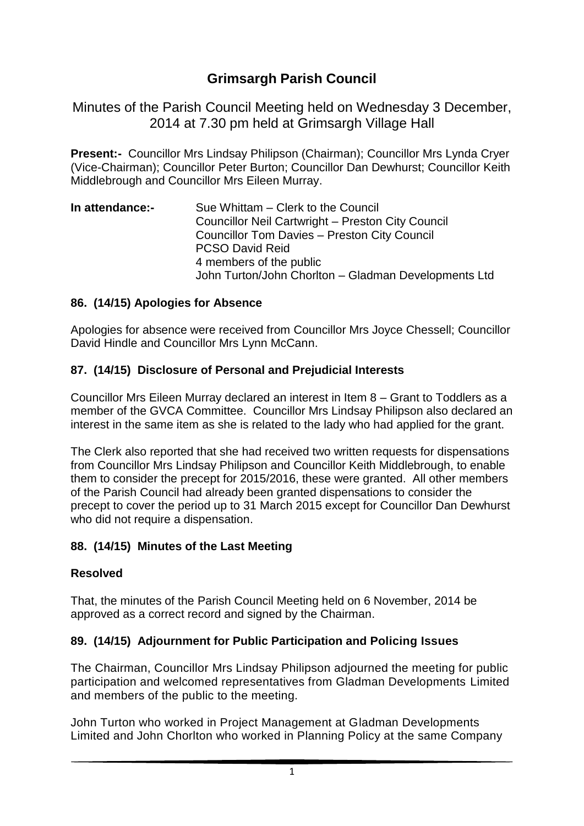# **Grimsargh Parish Council**

Minutes of the Parish Council Meeting held on Wednesday 3 December, 2014 at 7.30 pm held at Grimsargh Village Hall

**Present:-** Councillor Mrs Lindsay Philipson (Chairman); Councillor Mrs Lynda Cryer (Vice-Chairman); Councillor Peter Burton; Councillor Dan Dewhurst; Councillor Keith Middlebrough and Councillor Mrs Eileen Murray.

| In attendance:- | Sue Whittam – Clerk to the Council                   |
|-----------------|------------------------------------------------------|
|                 | Councillor Neil Cartwright - Preston City Council    |
|                 | <b>Councillor Tom Davies - Preston City Council</b>  |
|                 | <b>PCSO David Reid</b>                               |
|                 | 4 members of the public                              |
|                 | John Turton/John Chorlton - Gladman Developments Ltd |

#### **86. (14/15) Apologies for Absence**

Apologies for absence were received from Councillor Mrs Joyce Chessell; Councillor David Hindle and Councillor Mrs Lynn McCann.

#### **87. (14/15) Disclosure of Personal and Prejudicial Interests**

Councillor Mrs Eileen Murray declared an interest in Item 8 – Grant to Toddlers as a member of the GVCA Committee. Councillor Mrs Lindsay Philipson also declared an interest in the same item as she is related to the lady who had applied for the grant.

The Clerk also reported that she had received two written requests for dispensations from Councillor Mrs Lindsay Philipson and Councillor Keith Middlebrough, to enable them to consider the precept for 2015/2016, these were granted. All other members of the Parish Council had already been granted dispensations to consider the precept to cover the period up to 31 March 2015 except for Councillor Dan Dewhurst who did not require a dispensation.

# **88. (14/15) Minutes of the Last Meeting**

#### **Resolved**

That, the minutes of the Parish Council Meeting held on 6 November, 2014 be approved as a correct record and signed by the Chairman.

# **89. (14/15) Adjournment for Public Participation and Policing Issues**

The Chairman, Councillor Mrs Lindsay Philipson adjourned the meeting for public participation and welcomed representatives from Gladman Developments Limited and members of the public to the meeting.

John Turton who worked in Project Management at Gladman Developments Limited and John Chorlton who worked in Planning Policy at the same Company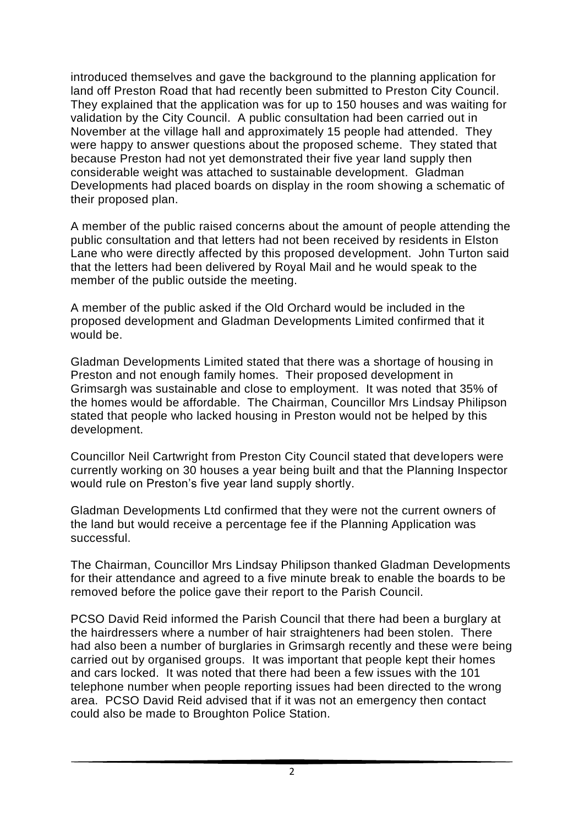introduced themselves and gave the background to the planning application for land off Preston Road that had recently been submitted to Preston City Council. They explained that the application was for up to 150 houses and was waiting for validation by the City Council. A public consultation had been carried out in November at the village hall and approximately 15 people had attended. They were happy to answer questions about the proposed scheme. They stated that because Preston had not yet demonstrated their five year land supply then considerable weight was attached to sustainable development. Gladman Developments had placed boards on display in the room showing a schematic of their proposed plan.

A member of the public raised concerns about the amount of people attending the public consultation and that letters had not been received by residents in Elston Lane who were directly affected by this proposed development. John Turton said that the letters had been delivered by Royal Mail and he would speak to the member of the public outside the meeting.

A member of the public asked if the Old Orchard would be included in the proposed development and Gladman Developments Limited confirmed that it would be.

Gladman Developments Limited stated that there was a shortage of housing in Preston and not enough family homes. Their proposed development in Grimsargh was sustainable and close to employment. It was noted that 35% of the homes would be affordable. The Chairman, Councillor Mrs Lindsay Philipson stated that people who lacked housing in Preston would not be helped by this development.

Councillor Neil Cartwright from Preston City Council stated that developers were currently working on 30 houses a year being built and that the Planning Inspector would rule on Preston's five year land supply shortly.

Gladman Developments Ltd confirmed that they were not the current owners of the land but would receive a percentage fee if the Planning Application was successful.

The Chairman, Councillor Mrs Lindsay Philipson thanked Gladman Developments for their attendance and agreed to a five minute break to enable the boards to be removed before the police gave their report to the Parish Council.

PCSO David Reid informed the Parish Council that there had been a burglary at the hairdressers where a number of hair straighteners had been stolen. There had also been a number of burglaries in Grimsargh recently and these were being carried out by organised groups. It was important that people kept their homes and cars locked. It was noted that there had been a few issues with the 101 telephone number when people reporting issues had been directed to the wrong area. PCSO David Reid advised that if it was not an emergency then contact could also be made to Broughton Police Station.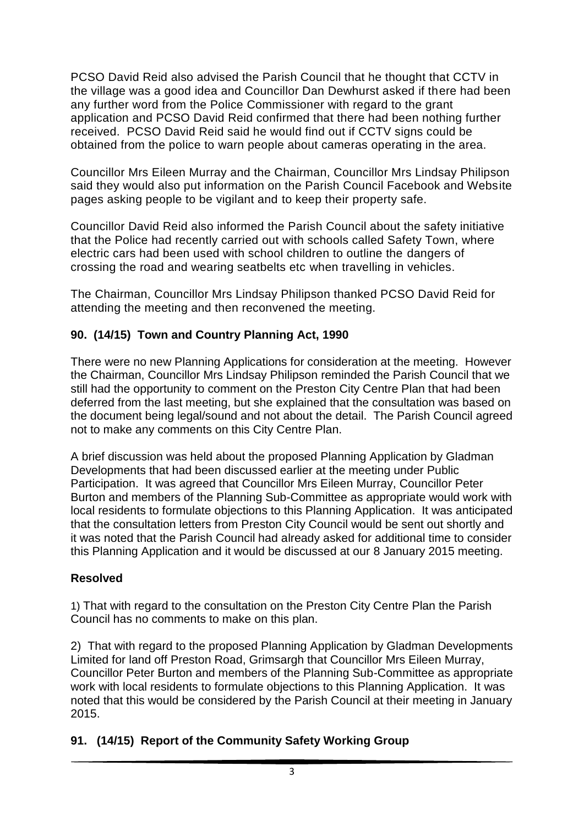PCSO David Reid also advised the Parish Council that he thought that CCTV in the village was a good idea and Councillor Dan Dewhurst asked if there had been any further word from the Police Commissioner with regard to the grant application and PCSO David Reid confirmed that there had been nothing further received. PCSO David Reid said he would find out if CCTV signs could be obtained from the police to warn people about cameras operating in the area.

Councillor Mrs Eileen Murray and the Chairman, Councillor Mrs Lindsay Philipson said they would also put information on the Parish Council Facebook and Website pages asking people to be vigilant and to keep their property safe.

Councillor David Reid also informed the Parish Council about the safety initiative that the Police had recently carried out with schools called Safety Town, where electric cars had been used with school children to outline the dangers of crossing the road and wearing seatbelts etc when travelling in vehicles.

The Chairman, Councillor Mrs Lindsay Philipson thanked PCSO David Reid for attending the meeting and then reconvened the meeting.

# **90. (14/15) Town and Country Planning Act, 1990**

There were no new Planning Applications for consideration at the meeting. However the Chairman, Councillor Mrs Lindsay Philipson reminded the Parish Council that we still had the opportunity to comment on the Preston City Centre Plan that had been deferred from the last meeting, but she explained that the consultation was based on the document being legal/sound and not about the detail. The Parish Council agreed not to make any comments on this City Centre Plan.

A brief discussion was held about the proposed Planning Application by Gladman Developments that had been discussed earlier at the meeting under Public Participation. It was agreed that Councillor Mrs Eileen Murray, Councillor Peter Burton and members of the Planning Sub-Committee as appropriate would work with local residents to formulate objections to this Planning Application. It was anticipated that the consultation letters from Preston City Council would be sent out shortly and it was noted that the Parish Council had already asked for additional time to consider this Planning Application and it would be discussed at our 8 January 2015 meeting.

# **Resolved**

1) That with regard to the consultation on the Preston City Centre Plan the Parish Council has no comments to make on this plan.

2) That with regard to the proposed Planning Application by Gladman Developments Limited for land off Preston Road, Grimsargh that Councillor Mrs Eileen Murray, Councillor Peter Burton and members of the Planning Sub-Committee as appropriate work with local residents to formulate objections to this Planning Application. It was noted that this would be considered by the Parish Council at their meeting in January 2015.

# **91. (14/15) Report of the Community Safety Working Group**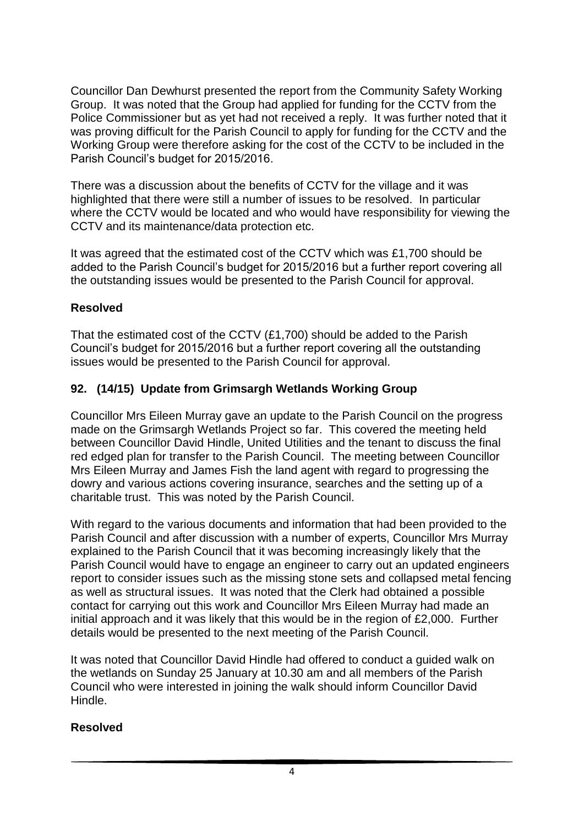Councillor Dan Dewhurst presented the report from the Community Safety Working Group. It was noted that the Group had applied for funding for the CCTV from the Police Commissioner but as yet had not received a reply. It was further noted that it was proving difficult for the Parish Council to apply for funding for the CCTV and the Working Group were therefore asking for the cost of the CCTV to be included in the Parish Council's budget for 2015/2016.

There was a discussion about the benefits of CCTV for the village and it was highlighted that there were still a number of issues to be resolved. In particular where the CCTV would be located and who would have responsibility for viewing the CCTV and its maintenance/data protection etc.

It was agreed that the estimated cost of the CCTV which was £1,700 should be added to the Parish Council's budget for 2015/2016 but a further report covering all the outstanding issues would be presented to the Parish Council for approval.

# **Resolved**

That the estimated cost of the CCTV (£1,700) should be added to the Parish Council's budget for 2015/2016 but a further report covering all the outstanding issues would be presented to the Parish Council for approval.

#### **92. (14/15) Update from Grimsargh Wetlands Working Group**

Councillor Mrs Eileen Murray gave an update to the Parish Council on the progress made on the Grimsargh Wetlands Project so far. This covered the meeting held between Councillor David Hindle, United Utilities and the tenant to discuss the final red edged plan for transfer to the Parish Council. The meeting between Councillor Mrs Eileen Murray and James Fish the land agent with regard to progressing the dowry and various actions covering insurance, searches and the setting up of a charitable trust. This was noted by the Parish Council.

With regard to the various documents and information that had been provided to the Parish Council and after discussion with a number of experts, Councillor Mrs Murray explained to the Parish Council that it was becoming increasingly likely that the Parish Council would have to engage an engineer to carry out an updated engineers report to consider issues such as the missing stone sets and collapsed metal fencing as well as structural issues. It was noted that the Clerk had obtained a possible contact for carrying out this work and Councillor Mrs Eileen Murray had made an initial approach and it was likely that this would be in the region of £2,000. Further details would be presented to the next meeting of the Parish Council.

It was noted that Councillor David Hindle had offered to conduct a guided walk on the wetlands on Sunday 25 January at 10.30 am and all members of the Parish Council who were interested in joining the walk should inform Councillor David Hindle.

#### **Resolved**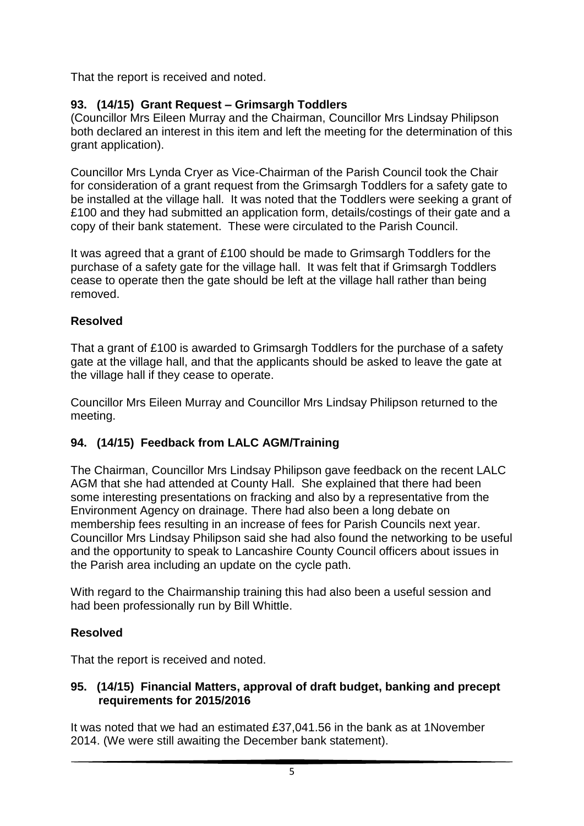That the report is received and noted.

# **93. (14/15) Grant Request – Grimsargh Toddlers**

(Councillor Mrs Eileen Murray and the Chairman, Councillor Mrs Lindsay Philipson both declared an interest in this item and left the meeting for the determination of this grant application).

Councillor Mrs Lynda Cryer as Vice-Chairman of the Parish Council took the Chair for consideration of a grant request from the Grimsargh Toddlers for a safety gate to be installed at the village hall. It was noted that the Toddlers were seeking a grant of £100 and they had submitted an application form, details/costings of their gate and a copy of their bank statement. These were circulated to the Parish Council.

It was agreed that a grant of £100 should be made to Grimsargh Toddlers for the purchase of a safety gate for the village hall. It was felt that if Grimsargh Toddlers cease to operate then the gate should be left at the village hall rather than being removed.

# **Resolved**

That a grant of £100 is awarded to Grimsargh Toddlers for the purchase of a safety gate at the village hall, and that the applicants should be asked to leave the gate at the village hall if they cease to operate.

Councillor Mrs Eileen Murray and Councillor Mrs Lindsay Philipson returned to the meeting.

# **94. (14/15) Feedback from LALC AGM/Training**

The Chairman, Councillor Mrs Lindsay Philipson gave feedback on the recent LALC AGM that she had attended at County Hall. She explained that there had been some interesting presentations on fracking and also by a representative from the Environment Agency on drainage. There had also been a long debate on membership fees resulting in an increase of fees for Parish Councils next year. Councillor Mrs Lindsay Philipson said she had also found the networking to be useful and the opportunity to speak to Lancashire County Council officers about issues in the Parish area including an update on the cycle path.

With regard to the Chairmanship training this had also been a useful session and had been professionally run by Bill Whittle.

# **Resolved**

That the report is received and noted.

# **95. (14/15) Financial Matters, approval of draft budget, banking and precept requirements for 2015/2016**

It was noted that we had an estimated £37,041.56 in the bank as at 1November 2014. (We were still awaiting the December bank statement).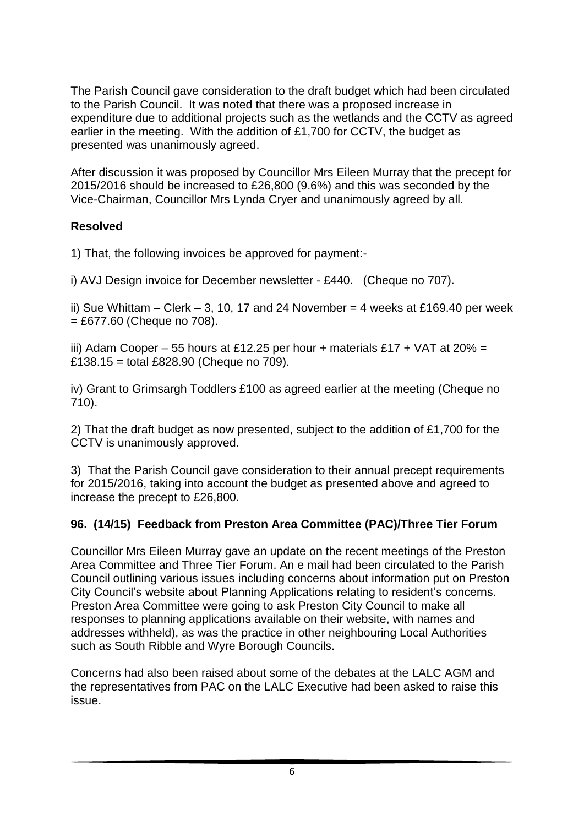The Parish Council gave consideration to the draft budget which had been circulated to the Parish Council. It was noted that there was a proposed increase in expenditure due to additional projects such as the wetlands and the CCTV as agreed earlier in the meeting. With the addition of £1,700 for CCTV, the budget as presented was unanimously agreed.

After discussion it was proposed by Councillor Mrs Eileen Murray that the precept for 2015/2016 should be increased to £26,800 (9.6%) and this was seconded by the Vice-Chairman, Councillor Mrs Lynda Cryer and unanimously agreed by all.

# **Resolved**

1) That, the following invoices be approved for payment:-

i) AVJ Design invoice for December newsletter - £440. (Cheque no 707).

ii) Sue Whittam – Clerk – 3, 10, 17 and 24 November = 4 weeks at £169.40 per week  $= £677.60$  (Cheque no 708).

iii) Adam Cooper – 55 hours at £12.25 per hour + materials £17 + VAT at 20% = £138.15 = total £828.90 (Cheque no  $709$ ).

iv) Grant to Grimsargh Toddlers £100 as agreed earlier at the meeting (Cheque no 710).

2) That the draft budget as now presented, subject to the addition of £1,700 for the CCTV is unanimously approved.

3) That the Parish Council gave consideration to their annual precept requirements for 2015/2016, taking into account the budget as presented above and agreed to increase the precept to £26,800.

# **96. (14/15) Feedback from Preston Area Committee (PAC)/Three Tier Forum**

Councillor Mrs Eileen Murray gave an update on the recent meetings of the Preston Area Committee and Three Tier Forum. An e mail had been circulated to the Parish Council outlining various issues including concerns about information put on Preston City Council's website about Planning Applications relating to resident's concerns. Preston Area Committee were going to ask Preston City Council to make all responses to planning applications available on their website, with names and addresses withheld), as was the practice in other neighbouring Local Authorities such as South Ribble and Wyre Borough Councils.

Concerns had also been raised about some of the debates at the LALC AGM and the representatives from PAC on the LALC Executive had been asked to raise this issue.